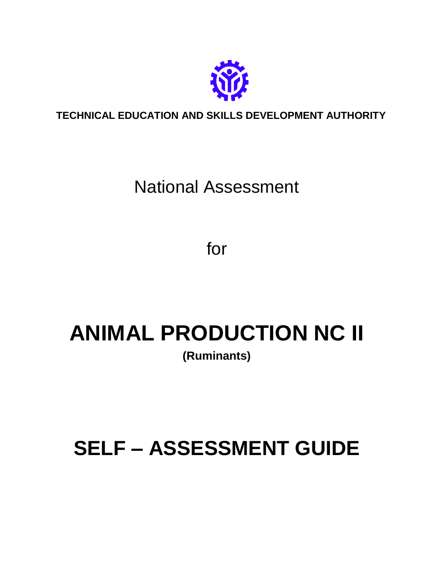

**TECHNICAL EDUCATION AND SKILLS DEVELOPMENT AUTHORITY**

# National Assessment

for

# **ANIMAL PRODUCTION NC II (Ruminants)**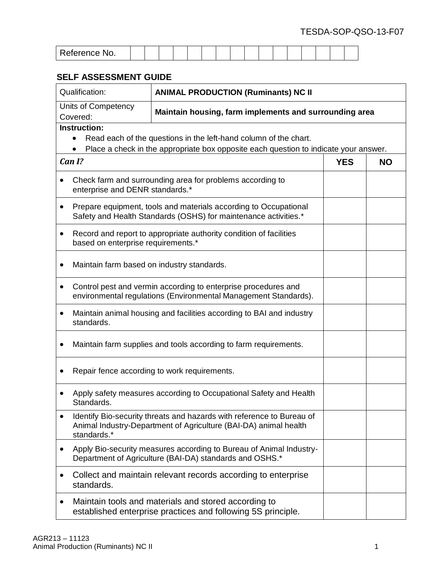| Reference No. |  |  |  |  |  |  |  |  |  |  |  |  |  |  |  |  |  |
|---------------|--|--|--|--|--|--|--|--|--|--|--|--|--|--|--|--|--|
|---------------|--|--|--|--|--|--|--|--|--|--|--|--|--|--|--|--|--|

| Qualification:                                                                                                                                   | <b>ANIMAL PRODUCTION (Ruminants) NC II</b>                                                                                                               |            |           |  |  |  |  |  |
|--------------------------------------------------------------------------------------------------------------------------------------------------|----------------------------------------------------------------------------------------------------------------------------------------------------------|------------|-----------|--|--|--|--|--|
| Units of Competency<br>Covered:                                                                                                                  | Maintain housing, farm implements and surrounding area                                                                                                   |            |           |  |  |  |  |  |
| <b>Instruction:</b>                                                                                                                              | Read each of the questions in the left-hand column of the chart.<br>Place a check in the appropriate box opposite each question to indicate your answer. |            |           |  |  |  |  |  |
| Can I?                                                                                                                                           |                                                                                                                                                          | <b>YES</b> | <b>NO</b> |  |  |  |  |  |
| $\bullet$<br>enterprise and DENR standards.*                                                                                                     | Check farm and surrounding area for problems according to                                                                                                |            |           |  |  |  |  |  |
| Prepare equipment, tools and materials according to Occupational<br>$\bullet$<br>Safety and Health Standards (OSHS) for maintenance activities.* |                                                                                                                                                          |            |           |  |  |  |  |  |
| Record and report to appropriate authority condition of facilities<br>$\bullet$<br>based on enterprise requirements.*                            |                                                                                                                                                          |            |           |  |  |  |  |  |
| Maintain farm based on industry standards.                                                                                                       |                                                                                                                                                          |            |           |  |  |  |  |  |
| ٠                                                                                                                                                | Control pest and vermin according to enterprise procedures and<br>environmental regulations (Environmental Management Standards).                        |            |           |  |  |  |  |  |
| standards.                                                                                                                                       | Maintain animal housing and facilities according to BAI and industry                                                                                     |            |           |  |  |  |  |  |
| $\bullet$                                                                                                                                        | Maintain farm supplies and tools according to farm requirements.                                                                                         |            |           |  |  |  |  |  |
|                                                                                                                                                  | Repair fence according to work requirements.                                                                                                             |            |           |  |  |  |  |  |
| Standards.                                                                                                                                       | Apply safety measures according to Occupational Safety and Health                                                                                        |            |           |  |  |  |  |  |
| standards.*                                                                                                                                      | Identify Bio-security threats and hazards with reference to Bureau of<br>Animal Industry-Department of Agriculture (BAI-DA) animal health                |            |           |  |  |  |  |  |
|                                                                                                                                                  | Apply Bio-security measures according to Bureau of Animal Industry-<br>Department of Agriculture (BAI-DA) standards and OSHS.*                           |            |           |  |  |  |  |  |
| standards.                                                                                                                                       | Collect and maintain relevant records according to enterprise                                                                                            |            |           |  |  |  |  |  |
| Maintain tools and materials and stored according to<br>$\bullet$<br>established enterprise practices and following 5S principle.                |                                                                                                                                                          |            |           |  |  |  |  |  |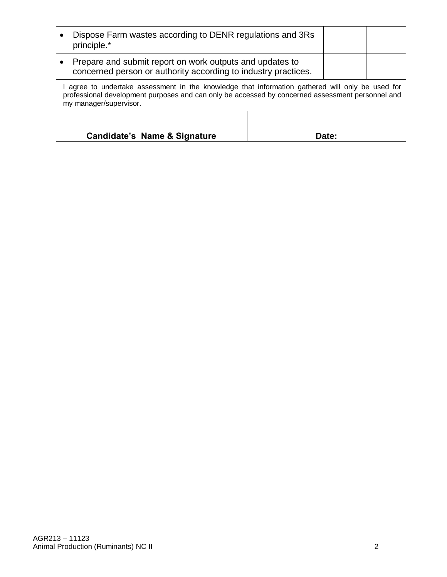|                                                                                                                            | Dispose Farm wastes according to DENR regulations and 3Rs<br>principle.*                                                                                                                                                     |  |       |  |  |  |  |
|----------------------------------------------------------------------------------------------------------------------------|------------------------------------------------------------------------------------------------------------------------------------------------------------------------------------------------------------------------------|--|-------|--|--|--|--|
| Prepare and submit report on work outputs and updates to<br>concerned person or authority according to industry practices. |                                                                                                                                                                                                                              |  |       |  |  |  |  |
|                                                                                                                            | agree to undertake assessment in the knowledge that information gathered will only be used for<br>professional development purposes and can only be accessed by concerned assessment personnel and<br>my manager/supervisor. |  |       |  |  |  |  |
|                                                                                                                            | Candidate's Name & Signature                                                                                                                                                                                                 |  | Date: |  |  |  |  |
|                                                                                                                            |                                                                                                                                                                                                                              |  |       |  |  |  |  |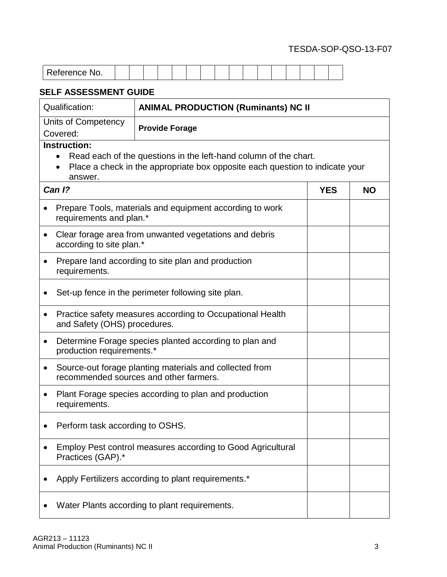| $-1 - 1 - 1 - 1$<br>NO.<br>- • • • • |  |  |  |  |  |  |  |  |
|--------------------------------------|--|--|--|--|--|--|--|--|
|                                      |  |  |  |  |  |  |  |  |

| Qualification:                                                                                  | <b>ANIMAL PRODUCTION (Ruminants) NC II</b>                                                                                                       |            |           |  |  |  |  |  |
|-------------------------------------------------------------------------------------------------|--------------------------------------------------------------------------------------------------------------------------------------------------|------------|-----------|--|--|--|--|--|
| Units of Competency<br>Covered:                                                                 | <b>Provide Forage</b>                                                                                                                            |            |           |  |  |  |  |  |
| <b>Instruction:</b><br>$\bullet$<br>answer.                                                     | Read each of the questions in the left-hand column of the chart.<br>Place a check in the appropriate box opposite each question to indicate your |            |           |  |  |  |  |  |
| Can 1?                                                                                          |                                                                                                                                                  | <b>YES</b> | <b>NO</b> |  |  |  |  |  |
| requirements and plan.*                                                                         | Prepare Tools, materials and equipment according to work                                                                                         |            |           |  |  |  |  |  |
| Clear forage area from unwanted vegetations and debris<br>$\bullet$<br>according to site plan.* |                                                                                                                                                  |            |           |  |  |  |  |  |
| $\bullet$<br>requirements.                                                                      | Prepare land according to site plan and production                                                                                               |            |           |  |  |  |  |  |
|                                                                                                 | Set-up fence in the perimeter following site plan.                                                                                               |            |           |  |  |  |  |  |
| $\bullet$<br>and Safety (OHS) procedures.                                                       | Practice safety measures according to Occupational Health                                                                                        |            |           |  |  |  |  |  |
| $\bullet$<br>production requirements.*                                                          | Determine Forage species planted according to plan and                                                                                           |            |           |  |  |  |  |  |
| ٠                                                                                               | Source-out forage planting materials and collected from<br>recommended sources and other farmers.                                                |            |           |  |  |  |  |  |
| requirements.                                                                                   | Plant Forage species according to plan and production                                                                                            |            |           |  |  |  |  |  |
| Perform task according to OSHS.                                                                 |                                                                                                                                                  |            |           |  |  |  |  |  |
| Practices (GAP).*                                                                               | <b>Employ Pest control measures according to Good Agricultural</b>                                                                               |            |           |  |  |  |  |  |
|                                                                                                 | Apply Fertilizers according to plant requirements.*                                                                                              |            |           |  |  |  |  |  |
| Water Plants according to plant requirements.                                                   |                                                                                                                                                  |            |           |  |  |  |  |  |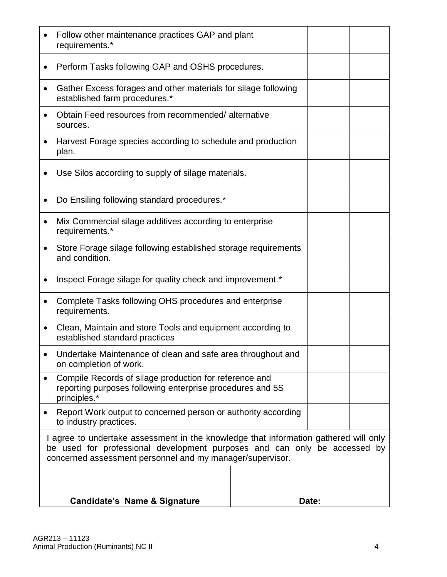| Follow other maintenance practices GAP and plant<br>requirements.*                                                                                                                                                             |  |       |  |  |  |  |  |  |
|--------------------------------------------------------------------------------------------------------------------------------------------------------------------------------------------------------------------------------|--|-------|--|--|--|--|--|--|
| Perform Tasks following GAP and OSHS procedures.                                                                                                                                                                               |  |       |  |  |  |  |  |  |
| Gather Excess forages and other materials for silage following<br>established farm procedures.*                                                                                                                                |  |       |  |  |  |  |  |  |
| Obtain Feed resources from recommended/alternative<br>sources.                                                                                                                                                                 |  |       |  |  |  |  |  |  |
| Harvest Forage species according to schedule and production<br>plan.                                                                                                                                                           |  |       |  |  |  |  |  |  |
| Use Silos according to supply of silage materials.                                                                                                                                                                             |  |       |  |  |  |  |  |  |
| Do Ensiling following standard procedures.*                                                                                                                                                                                    |  |       |  |  |  |  |  |  |
| Mix Commercial silage additives according to enterprise<br>requirements.*                                                                                                                                                      |  |       |  |  |  |  |  |  |
| Store Forage silage following established storage requirements<br>and condition.                                                                                                                                               |  |       |  |  |  |  |  |  |
| Inspect Forage silage for quality check and improvement.*                                                                                                                                                                      |  |       |  |  |  |  |  |  |
| Complete Tasks following OHS procedures and enterprise<br>requirements.                                                                                                                                                        |  |       |  |  |  |  |  |  |
| Clean, Maintain and store Tools and equipment according to<br>established standard practices                                                                                                                                   |  |       |  |  |  |  |  |  |
| Undertake Maintenance of clean and safe area throughout and<br>on completion of work.                                                                                                                                          |  |       |  |  |  |  |  |  |
| Compile Records of silage production for reference and<br>reporting purposes following enterprise procedures and 5S<br>principles.*                                                                                            |  |       |  |  |  |  |  |  |
| Report Work output to concerned person or authority according<br>to industry practices.                                                                                                                                        |  |       |  |  |  |  |  |  |
| I agree to undertake assessment in the knowledge that information gathered will only<br>be used for professional development purposes and can only be accessed by<br>concerned assessment personnel and my manager/supervisor. |  |       |  |  |  |  |  |  |
|                                                                                                                                                                                                                                |  |       |  |  |  |  |  |  |
| <b>Candidate's Name &amp; Signature</b>                                                                                                                                                                                        |  | Date: |  |  |  |  |  |  |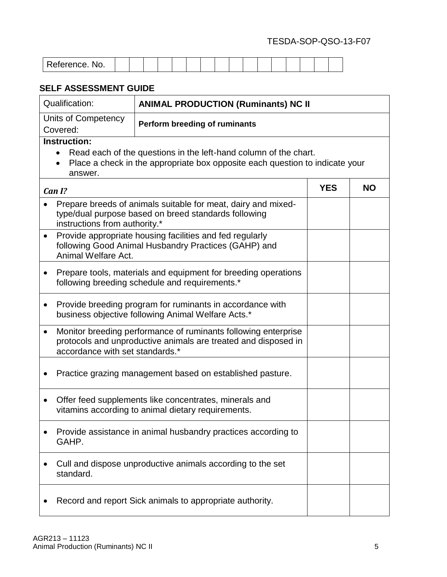| Reference.<br>NO. |  |  |  |  |  |  |  |  |  |  |  |  |  |  |  |  |
|-------------------|--|--|--|--|--|--|--|--|--|--|--|--|--|--|--|--|
|-------------------|--|--|--|--|--|--|--|--|--|--|--|--|--|--|--|--|

| Qualification:                                                                                                                                       | <b>ANIMAL PRODUCTION (Ruminants) NC II</b>                                                                                                       |            |           |  |  |  |  |  |
|------------------------------------------------------------------------------------------------------------------------------------------------------|--------------------------------------------------------------------------------------------------------------------------------------------------|------------|-----------|--|--|--|--|--|
| Units of Competency<br>Covered:                                                                                                                      | <b>Perform breeding of ruminants</b>                                                                                                             |            |           |  |  |  |  |  |
| <b>Instruction:</b><br>answer.                                                                                                                       | Read each of the questions in the left-hand column of the chart.<br>Place a check in the appropriate box opposite each question to indicate your |            |           |  |  |  |  |  |
| Can I?                                                                                                                                               |                                                                                                                                                  | <b>YES</b> | <b>NO</b> |  |  |  |  |  |
| instructions from authority.*                                                                                                                        | Prepare breeds of animals suitable for meat, dairy and mixed-<br>type/dual purpose based on breed standards following                            |            |           |  |  |  |  |  |
| Provide appropriate housing facilities and fed regularly<br>$\bullet$<br>following Good Animal Husbandry Practices (GAHP) and<br>Animal Welfare Act. |                                                                                                                                                  |            |           |  |  |  |  |  |
| Prepare tools, materials and equipment for breeding operations<br>٠<br>following breeding schedule and requirements.*                                |                                                                                                                                                  |            |           |  |  |  |  |  |
|                                                                                                                                                      | Provide breeding program for ruminants in accordance with<br>business objective following Animal Welfare Acts.*                                  |            |           |  |  |  |  |  |
| $\bullet$<br>accordance with set standards.*                                                                                                         | Monitor breeding performance of ruminants following enterprise<br>protocols and unproductive animals are treated and disposed in                 |            |           |  |  |  |  |  |
|                                                                                                                                                      | Practice grazing management based on established pasture.                                                                                        |            |           |  |  |  |  |  |
| ٠                                                                                                                                                    | Offer feed supplements like concentrates, minerals and<br>vitamins according to animal dietary requirements.                                     |            |           |  |  |  |  |  |
| GAHP.                                                                                                                                                | Provide assistance in animal husbandry practices according to                                                                                    |            |           |  |  |  |  |  |
| Cull and dispose unproductive animals according to the set<br>standard.                                                                              |                                                                                                                                                  |            |           |  |  |  |  |  |
| Record and report Sick animals to appropriate authority.                                                                                             |                                                                                                                                                  |            |           |  |  |  |  |  |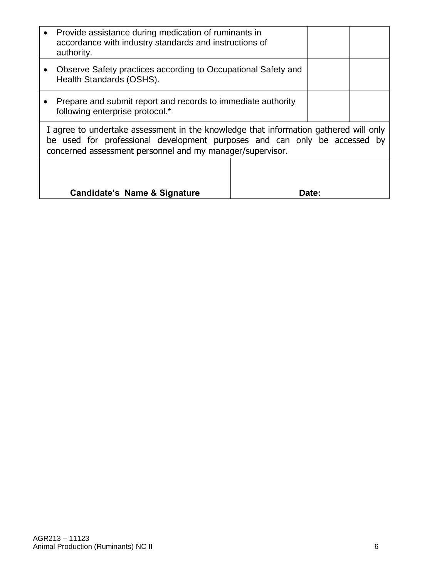| Provide assistance during medication of ruminants in<br>accordance with industry standards and instructions of<br>authority.                                                                                                   |  |       |  |  |  |  |  |
|--------------------------------------------------------------------------------------------------------------------------------------------------------------------------------------------------------------------------------|--|-------|--|--|--|--|--|
| Observe Safety practices according to Occupational Safety and<br>Health Standards (OSHS).                                                                                                                                      |  |       |  |  |  |  |  |
| Prepare and submit report and records to immediate authority<br>following enterprise protocol.*                                                                                                                                |  |       |  |  |  |  |  |
| I agree to undertake assessment in the knowledge that information gathered will only<br>be used for professional development purposes and can only be accessed by<br>concerned assessment personnel and my manager/supervisor. |  |       |  |  |  |  |  |
|                                                                                                                                                                                                                                |  |       |  |  |  |  |  |
| Candidate's Name & Signature                                                                                                                                                                                                   |  | Date: |  |  |  |  |  |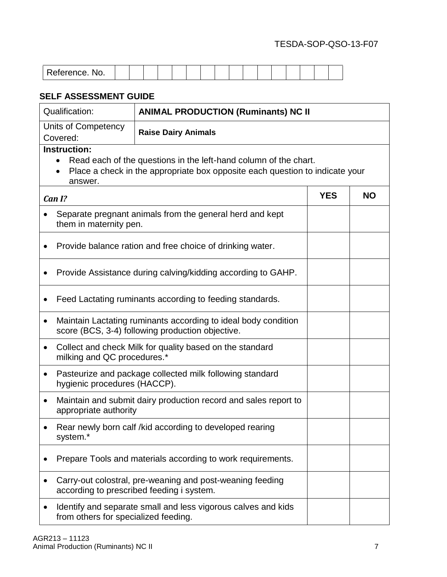| INO.<br>. ייז טו וטע |  |  |  |  |  |  |  |  |
|----------------------|--|--|--|--|--|--|--|--|

| Qualification:                                                                                        | <b>ANIMAL PRODUCTION (Ruminants) NC II</b>                                                                                                       |            |           |  |  |  |  |  |  |
|-------------------------------------------------------------------------------------------------------|--------------------------------------------------------------------------------------------------------------------------------------------------|------------|-----------|--|--|--|--|--|--|
| Units of Competency<br>Covered:                                                                       | <b>Raise Dairy Animals</b>                                                                                                                       |            |           |  |  |  |  |  |  |
| <b>Instruction:</b><br>answer.                                                                        | Read each of the questions in the left-hand column of the chart.<br>Place a check in the appropriate box opposite each question to indicate your |            |           |  |  |  |  |  |  |
| Can I?                                                                                                |                                                                                                                                                  | <b>YES</b> | <b>NO</b> |  |  |  |  |  |  |
| them in maternity pen.                                                                                | Separate pregnant animals from the general herd and kept                                                                                         |            |           |  |  |  |  |  |  |
| Provide balance ration and free choice of drinking water.                                             |                                                                                                                                                  |            |           |  |  |  |  |  |  |
|                                                                                                       | Provide Assistance during calving/kidding according to GAHP.                                                                                     |            |           |  |  |  |  |  |  |
|                                                                                                       | Feed Lactating ruminants according to feeding standards.                                                                                         |            |           |  |  |  |  |  |  |
| $\bullet$                                                                                             | Maintain Lactating ruminants according to ideal body condition<br>score (BCS, 3-4) following production objective.                               |            |           |  |  |  |  |  |  |
| $\bullet$<br>milking and QC procedures.*                                                              | Collect and check Milk for quality based on the standard                                                                                         |            |           |  |  |  |  |  |  |
| $\bullet$<br>hygienic procedures (HACCP).                                                             | Pasteurize and package collected milk following standard                                                                                         |            |           |  |  |  |  |  |  |
| ٠<br>appropriate authority                                                                            | Maintain and submit dairy production record and sales report to                                                                                  |            |           |  |  |  |  |  |  |
| system.*                                                                                              | Rear newly born calf /kid according to developed rearing                                                                                         |            |           |  |  |  |  |  |  |
|                                                                                                       | Prepare Tools and materials according to work requirements.                                                                                      |            |           |  |  |  |  |  |  |
|                                                                                                       | Carry-out colostral, pre-weaning and post-weaning feeding<br>according to prescribed feeding i system.                                           |            |           |  |  |  |  |  |  |
| Identify and separate small and less vigorous calves and kids<br>from others for specialized feeding. |                                                                                                                                                  |            |           |  |  |  |  |  |  |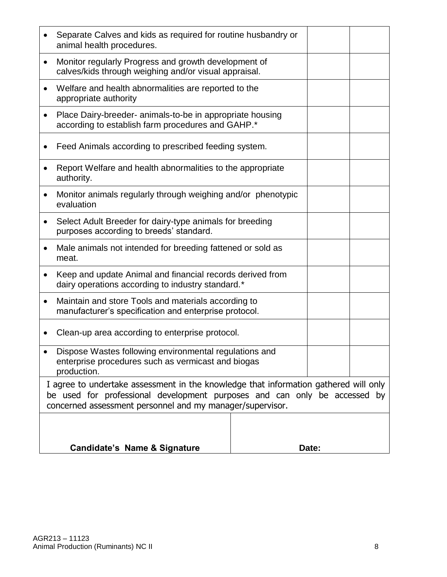|                                                                                                                | <b>Candidate's Name &amp; Signature</b>                                                                                                |  | Date: |  |  |  |  |  |
|----------------------------------------------------------------------------------------------------------------|----------------------------------------------------------------------------------------------------------------------------------------|--|-------|--|--|--|--|--|
|                                                                                                                |                                                                                                                                        |  |       |  |  |  |  |  |
|                                                                                                                | be used for professional development purposes and can only be accessed by<br>concerned assessment personnel and my manager/supervisor. |  |       |  |  |  |  |  |
|                                                                                                                | production.<br>I agree to undertake assessment in the knowledge that information gathered will only                                    |  |       |  |  |  |  |  |
|                                                                                                                | Dispose Wastes following environmental regulations and<br>enterprise procedures such as vermicast and biogas                           |  |       |  |  |  |  |  |
|                                                                                                                | Clean-up area according to enterprise protocol.                                                                                        |  |       |  |  |  |  |  |
|                                                                                                                | Maintain and store Tools and materials according to<br>manufacturer's specification and enterprise protocol.                           |  |       |  |  |  |  |  |
|                                                                                                                | Keep and update Animal and financial records derived from<br>dairy operations according to industry standard.*                         |  |       |  |  |  |  |  |
|                                                                                                                | Male animals not intended for breeding fattened or sold as<br>meat.                                                                    |  |       |  |  |  |  |  |
|                                                                                                                | Select Adult Breeder for dairy-type animals for breeding<br>purposes according to breeds' standard.                                    |  |       |  |  |  |  |  |
|                                                                                                                | Monitor animals regularly through weighing and/or phenotypic<br>evaluation                                                             |  |       |  |  |  |  |  |
| Report Welfare and health abnormalities to the appropriate<br>authority.                                       |                                                                                                                                        |  |       |  |  |  |  |  |
|                                                                                                                | Feed Animals according to prescribed feeding system.                                                                                   |  |       |  |  |  |  |  |
| Place Dairy-breeder- animals-to-be in appropriate housing<br>according to establish farm procedures and GAHP.* |                                                                                                                                        |  |       |  |  |  |  |  |
|                                                                                                                | Welfare and health abnormalities are reported to the<br>appropriate authority                                                          |  |       |  |  |  |  |  |
|                                                                                                                | Monitor regularly Progress and growth development of<br>calves/kids through weighing and/or visual appraisal.                          |  |       |  |  |  |  |  |
|                                                                                                                | Separate Calves and kids as required for routine husbandry or<br>animal health procedures.                                             |  |       |  |  |  |  |  |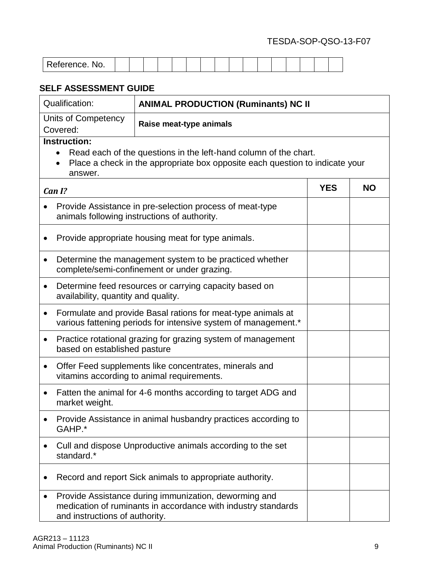| Reference.<br>No. |  |  |  |  |  |  |  |  |  |  |  |  |  |  |  |  |
|-------------------|--|--|--|--|--|--|--|--|--|--|--|--|--|--|--|--|
|-------------------|--|--|--|--|--|--|--|--|--|--|--|--|--|--|--|--|

| Qualification:                                                                                                    | <b>ANIMAL PRODUCTION (Ruminants) NC II</b>                                                                                                       |            |           |  |  |  |
|-------------------------------------------------------------------------------------------------------------------|--------------------------------------------------------------------------------------------------------------------------------------------------|------------|-----------|--|--|--|
| Units of Competency<br>Raise meat-type animals<br>Covered:                                                        |                                                                                                                                                  |            |           |  |  |  |
| <b>Instruction:</b><br>answer.                                                                                    | Read each of the questions in the left-hand column of the chart.<br>Place a check in the appropriate box opposite each question to indicate your |            |           |  |  |  |
| Can I?                                                                                                            |                                                                                                                                                  | <b>YES</b> | <b>NO</b> |  |  |  |
|                                                                                                                   | Provide Assistance in pre-selection process of meat-type<br>animals following instructions of authority.                                         |            |           |  |  |  |
| ٠                                                                                                                 | Provide appropriate housing meat for type animals.                                                                                               |            |           |  |  |  |
| Determine the management system to be practiced whether<br>٠<br>complete/semi-confinement or under grazing.       |                                                                                                                                                  |            |           |  |  |  |
| Determine feed resources or carrying capacity based on<br>$\bullet$<br>availability, quantity and quality.        |                                                                                                                                                  |            |           |  |  |  |
| $\bullet$                                                                                                         | Formulate and provide Basal rations for meat-type animals at<br>various fattening periods for intensive system of management.*                   |            |           |  |  |  |
| Practice rotational grazing for grazing system of management<br>$\bullet$<br>based on established pasture         |                                                                                                                                                  |            |           |  |  |  |
| Offer Feed supplements like concentrates, minerals and<br>$\bullet$<br>vitamins according to animal requirements. |                                                                                                                                                  |            |           |  |  |  |
| ٠<br>market weight.                                                                                               | Fatten the animal for 4-6 months according to target ADG and                                                                                     |            |           |  |  |  |
| GAHP.*                                                                                                            | Provide Assistance in animal husbandry practices according to                                                                                    |            |           |  |  |  |
| Cull and dispose Unproductive animals according to the set<br>standard.*                                          |                                                                                                                                                  |            |           |  |  |  |
|                                                                                                                   | Record and report Sick animals to appropriate authority.                                                                                         |            |           |  |  |  |
| $\bullet$<br>and instructions of authority.                                                                       | Provide Assistance during immunization, deworming and<br>medication of ruminants in accordance with industry standards                           |            |           |  |  |  |